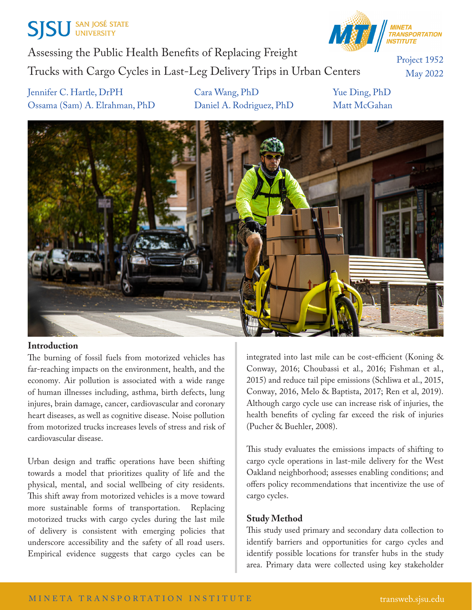# **SJSU** SAN JOSÉ STATE



Assessing the Public Health Benefits of Replacing Freight Trucks with Cargo Cycles in Last-Leg Delivery Trips in Urban Centers

Project 1952 May 2022

Jennifer C. Hartle, DrPH Cara Wang, PhD Yue Ding, PhD Ossama (Sam) A. Elrahman, PhD Daniel A. Rodriguez, PhD Matt McGahan



#### **Introduction**

The burning of fossil fuels from motorized vehicles has far-reaching impacts on the environment, health, and the economy. Air pollution is associated with a wide range of human illnesses including, asthma, birth defects, lung injures, brain damage, cancer, cardiovascular and coronary heart diseases, as well as cognitive disease. Noise pollution from motorized trucks increases levels of stress and risk of cardiovascular disease.

Urban design and traffic operations have been shifting towards a model that prioritizes quality of life and the physical, mental, and social wellbeing of city residents. This shift away from motorized vehicles is a move toward more sustainable forms of transportation. Replacing motorized trucks with cargo cycles during the last mile of delivery is consistent with emerging policies that underscore accessibility and the safety of all road users. Empirical evidence suggests that cargo cycles can be

integrated into last mile can be cost-efficient (Koning & Conway, 2016; Choubassi et al., 2016; Fishman et al., 2015) and reduce tail pipe emissions (Schliwa et al., 2015, Conway, 2016, Melo & Baptista, 2017; Ren et al, 2019). Although cargo cycle use can increase risk of injuries, the health benefits of cycling far exceed the risk of injuries (Pucher & Buehler, 2008).

This study evaluates the emissions impacts of shifting to cargo cycle operations in last-mile delivery for the West Oakland neighborhood; assesses enabling conditions; and offers policy recommendations that incentivize the use of cargo cycles.

### **Study Method**

This study used primary and secondary data collection to identify barriers and opportunities for cargo cycles and identify possible locations for transfer hubs in the study area. Primary data were collected using key stakeholder